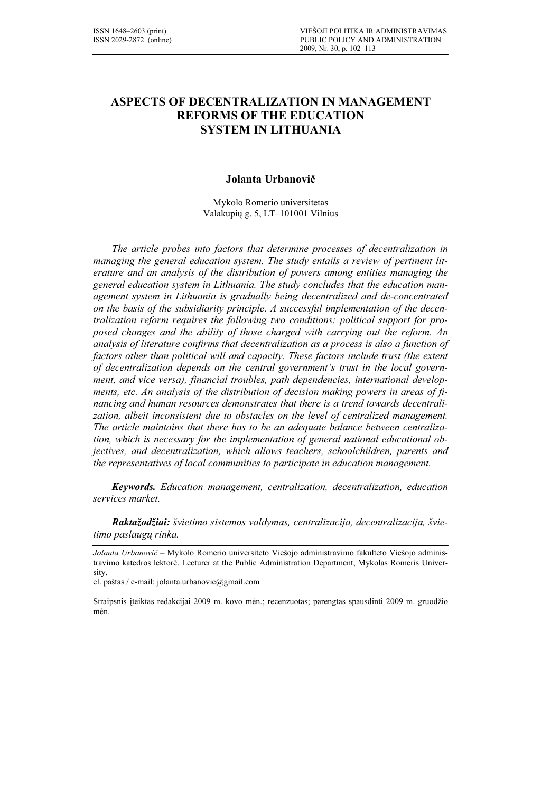# ASPECTS OF DECENTRALIZATION IN MANAGEMENT REFORMS OF THE EDUCATION SYSTEM IN LITHUANIA

# Jolanta Urbanovič

Mykolo Romerio universitetas Valakupių g. 5, LT–101001 Vilnius

The article probes into factors that determine processes of decentralization in managing the general education system. The study entails a review of pertinent literature and an analysis of the distribution of powers among entities managing the general education system in Lithuania. The study concludes that the education management system in Lithuania is gradually being decentralized and de-concentrated on the basis of the subsidiarity principle. A successful implementation of the decentralization reform requires the following two conditions: political support for proposed changes and the ability of those charged with carrying out the reform. An analysis of literature confirms that decentralization as a process is also a function of factors other than political will and capacity. These factors include trust (the extent of decentralization depends on the central government's trust in the local government, and vice versa), financial troubles, path dependencies, international developments, etc. An analysis of the distribution of decision making powers in areas of financing and human resources demonstrates that there is a trend towards decentralization, albeit inconsistent due to obstacles on the level of centralized management. The article maintains that there has to be an adequate balance between centralization, which is necessary for the implementation of general national educational objectives, and decentralization, which allows teachers, schoolchildren, parents and the representatives of local communities to participate in education management.

Keywords. Education management, centralization, decentralization, education services market.

Raktažodžiai: švietimo sistemos valdymas, centralizacija, decentralizacija, švietimo paslaugų rinka.

Jolanta Urbanovič – Mykolo Romerio universiteto Viešojo administravimo fakulteto Viešojo administravimo katedros lektorė. Lecturer at the Public Administration Department, Mykolas Romeris University.

el. paštas / e-mail: jolanta.urbanovic@gmail.com

Straipsnis įteiktas redakcijai 2009 m. kovo mėn.; recenzuotas; parengtas spausdinti 2009 m. gruodžio mėn.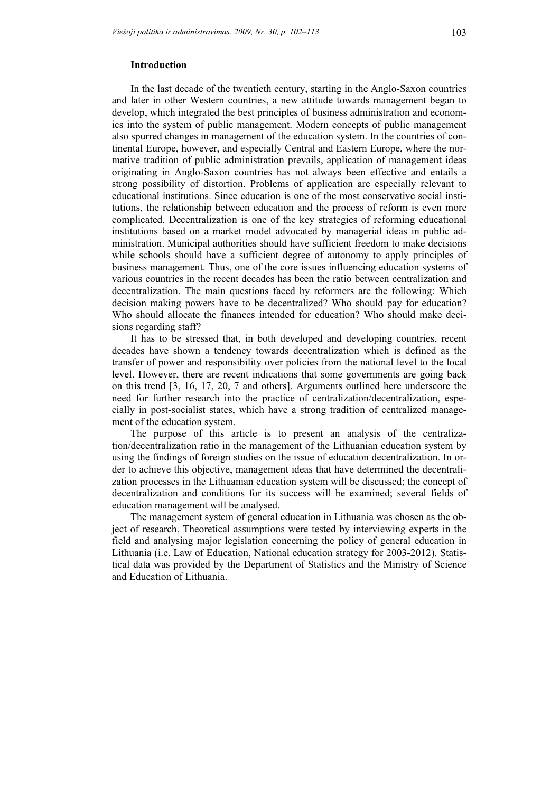# Introduction

In the last decade of the twentieth century, starting in the Anglo-Saxon countries and later in other Western countries, a new attitude towards management began to develop, which integrated the best principles of business administration and economics into the system of public management. Modern concepts of public management also spurred changes in management of the education system. In the countries of continental Europe, however, and especially Central and Eastern Europe, where the normative tradition of public administration prevails, application of management ideas originating in Anglo-Saxon countries has not always been effective and entails a strong possibility of distortion. Problems of application are especially relevant to educational institutions. Since education is one of the most conservative social institutions, the relationship between education and the process of reform is even more complicated. Decentralization is one of the key strategies of reforming educational institutions based on a market model advocated by managerial ideas in public administration. Municipal authorities should have sufficient freedom to make decisions while schools should have a sufficient degree of autonomy to apply principles of business management. Thus, one of the core issues influencing education systems of various countries in the recent decades has been the ratio between centralization and decentralization. The main questions faced by reformers are the following: Which decision making powers have to be decentralized? Who should pay for education? Who should allocate the finances intended for education? Who should make decisions regarding staff?

It has to be stressed that, in both developed and developing countries, recent decades have shown a tendency towards decentralization which is defined as the transfer of power and responsibility over policies from the national level to the local level. However, there are recent indications that some governments are going back on this trend [3, 16, 17, 20, 7 and others]. Arguments outlined here underscore the need for further research into the practice of centralization/decentralization, especially in post-socialist states, which have a strong tradition of centralized management of the education system.

The purpose of this article is to present an analysis of the centralization/decentralization ratio in the management of the Lithuanian education system by using the findings of foreign studies on the issue of education decentralization. In order to achieve this objective, management ideas that have determined the decentralization processes in the Lithuanian education system will be discussed; the concept of decentralization and conditions for its success will be examined; several fields of education management will be analysed.

The management system of general education in Lithuania was chosen as the object of research. Theoretical assumptions were tested by interviewing experts in the field and analysing major legislation concerning the policy of general education in Lithuania (i.e. Law of Education, National education strategy for 2003-2012). Statistical data was provided by the Department of Statistics and the Ministry of Science and Education of Lithuania.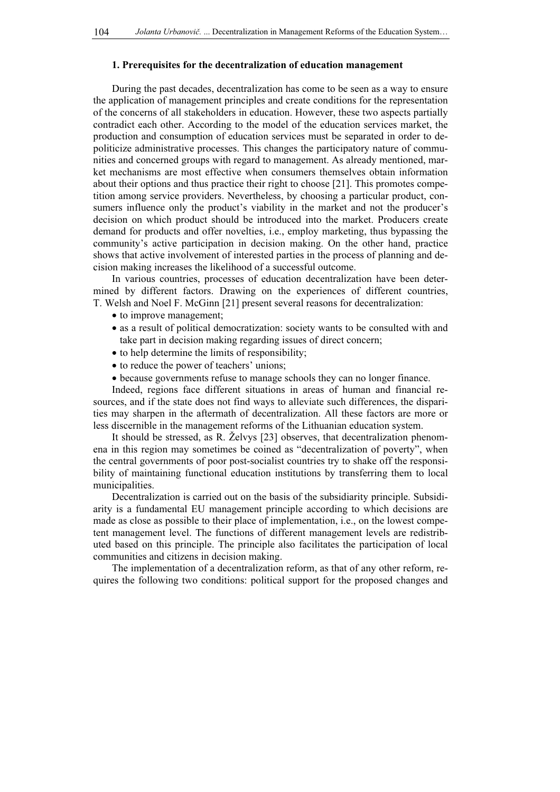### 1. Prerequisites for the decentralization of education management

During the past decades, decentralization has come to be seen as a way to ensure the application of management principles and create conditions for the representation of the concerns of all stakeholders in education. However, these two aspects partially contradict each other. According to the model of the education services market, the production and consumption of education services must be separated in order to depoliticize administrative processes. This changes the participatory nature of communities and concerned groups with regard to management. As already mentioned, market mechanisms are most effective when consumers themselves obtain information about their options and thus practice their right to choose [21]. This promotes competition among service providers. Nevertheless, by choosing a particular product, consumers influence only the product's viability in the market and not the producer's decision on which product should be introduced into the market. Producers create demand for products and offer novelties, i.e., employ marketing, thus bypassing the community's active participation in decision making. On the other hand, practice shows that active involvement of interested parties in the process of planning and decision making increases the likelihood of a successful outcome.

In various countries, processes of education decentralization have been determined by different factors. Drawing on the experiences of different countries, T. Welsh and Noel F. McGinn [21] present several reasons for decentralization:

- to improve management;
- as a result of political democratization: society wants to be consulted with and take part in decision making regarding issues of direct concern;
- to help determine the limits of responsibility;
- to reduce the power of teachers' unions;
- because governments refuse to manage schools they can no longer finance.

Indeed, regions face different situations in areas of human and financial resources, and if the state does not find ways to alleviate such differences, the disparities may sharpen in the aftermath of decentralization. All these factors are more or less discernible in the management reforms of the Lithuanian education system.

It should be stressed, as R. Želvys [23] observes, that decentralization phenomena in this region may sometimes be coined as "decentralization of poverty", when the central governments of poor post-socialist countries try to shake off the responsibility of maintaining functional education institutions by transferring them to local municipalities.

Decentralization is carried out on the basis of the subsidiarity principle. Subsidiarity is a fundamental EU management principle according to which decisions are made as close as possible to their place of implementation, i.e., on the lowest competent management level. The functions of different management levels are redistributed based on this principle. The principle also facilitates the participation of local communities and citizens in decision making.

The implementation of a decentralization reform, as that of any other reform, requires the following two conditions: political support for the proposed changes and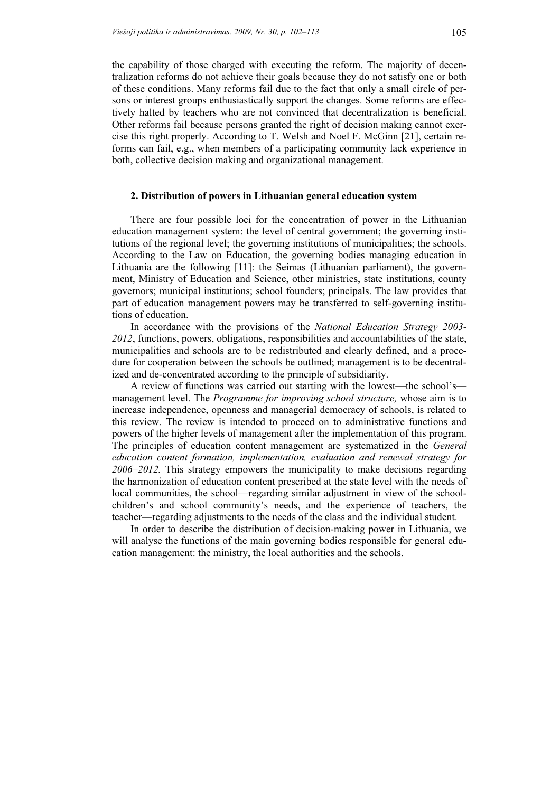the capability of those charged with executing the reform. The majority of decentralization reforms do not achieve their goals because they do not satisfy one or both of these conditions. Many reforms fail due to the fact that only a small circle of persons or interest groups enthusiastically support the changes. Some reforms are effectively halted by teachers who are not convinced that decentralization is beneficial. Other reforms fail because persons granted the right of decision making cannot exercise this right properly. According to T. Welsh and Noel F. McGinn [21], certain reforms can fail, e.g., when members of a participating community lack experience in both, collective decision making and organizational management.

#### 2. Distribution of powers in Lithuanian general education system

There are four possible loci for the concentration of power in the Lithuanian education management system: the level of central government; the governing institutions of the regional level; the governing institutions of municipalities; the schools. According to the Law on Education, the governing bodies managing education in Lithuania are the following [11]: the Seimas (Lithuanian parliament), the government, Ministry of Education and Science, other ministries, state institutions, county governors; municipal institutions; school founders; principals. The law provides that part of education management powers may be transferred to self-governing institutions of education.

In accordance with the provisions of the National Education Strategy 2003- 2012, functions, powers, obligations, responsibilities and accountabilities of the state, municipalities and schools are to be redistributed and clearly defined, and a procedure for cooperation between the schools be outlined; management is to be decentralized and de-concentrated according to the principle of subsidiarity.

A review of functions was carried out starting with the lowest—the school's management level. The *Programme for improving school structure*, whose aim is to increase independence, openness and managerial democracy of schools, is related to this review. The review is intended to proceed on to administrative functions and powers of the higher levels of management after the implementation of this program. The principles of education content management are systematized in the *General* education content formation, implementation, evaluation and renewal strategy for  $2006 - 2012$ . This strategy empowers the municipality to make decisions regarding the harmonization of education content prescribed at the state level with the needs of local communities, the school—regarding similar adjustment in view of the schoolchildren's and school community's needs, and the experience of teachers, the teacher—regarding adjustments to the needs of the class and the individual student.

In order to describe the distribution of decision-making power in Lithuania, we will analyse the functions of the main governing bodies responsible for general education management: the ministry, the local authorities and the schools.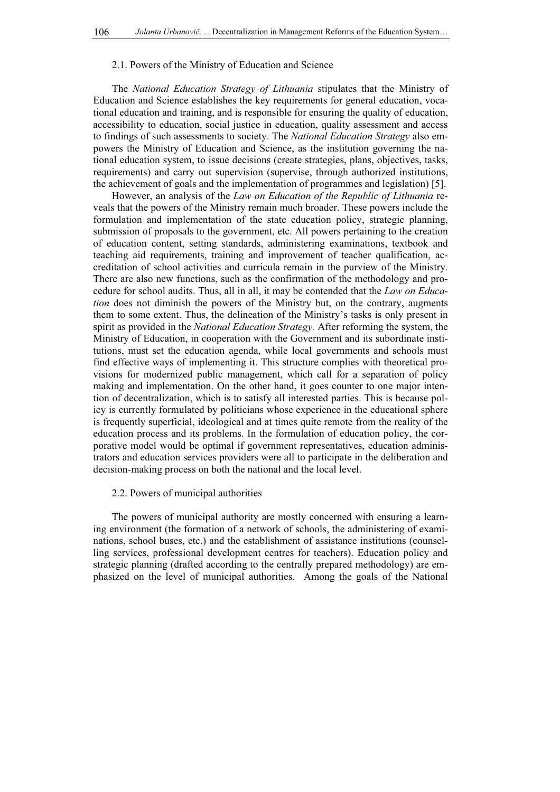#### 2.1. Powers of the Ministry of Education and Science

The National Education Strategy of Lithuania stipulates that the Ministry of Education and Science establishes the key requirements for general education, vocational education and training, and is responsible for ensuring the quality of education, accessibility to education, social justice in education, quality assessment and access to findings of such assessments to society. The National Education Strategy also empowers the Ministry of Education and Science, as the institution governing the national education system, to issue decisions (create strategies, plans, objectives, tasks, requirements) and carry out supervision (supervise, through authorized institutions, the achievement of goals and the implementation of programmes and legislation) [5].

However, an analysis of the Law on Education of the Republic of Lithuania reveals that the powers of the Ministry remain much broader. These powers include the formulation and implementation of the state education policy, strategic planning, submission of proposals to the government, etc. All powers pertaining to the creation of education content, setting standards, administering examinations, textbook and teaching aid requirements, training and improvement of teacher qualification, accreditation of school activities and curricula remain in the purview of the Ministry. There are also new functions, such as the confirmation of the methodology and procedure for school audits. Thus, all in all, it may be contended that the Law on Education does not diminish the powers of the Ministry but, on the contrary, augments them to some extent. Thus, the delineation of the Ministry's tasks is only present in spirit as provided in the *National Education Strategy*. After reforming the system, the Ministry of Education, in cooperation with the Government and its subordinate institutions, must set the education agenda, while local governments and schools must find effective ways of implementing it. This structure complies with theoretical provisions for modernized public management, which call for a separation of policy making and implementation. On the other hand, it goes counter to one major intention of decentralization, which is to satisfy all interested parties. This is because policy is currently formulated by politicians whose experience in the educational sphere is frequently superficial, ideological and at times quite remote from the reality of the education process and its problems. In the formulation of education policy, the corporative model would be optimal if government representatives, education administrators and education services providers were all to participate in the deliberation and decision-making process on both the national and the local level.

#### 2.2. Powers of municipal authorities

The powers of municipal authority are mostly concerned with ensuring a learning environment (the formation of a network of schools, the administering of examinations, school buses, etc.) and the establishment of assistance institutions (counselling services, professional development centres for teachers). Education policy and strategic planning (drafted according to the centrally prepared methodology) are emphasized on the level of municipal authorities. Among the goals of the National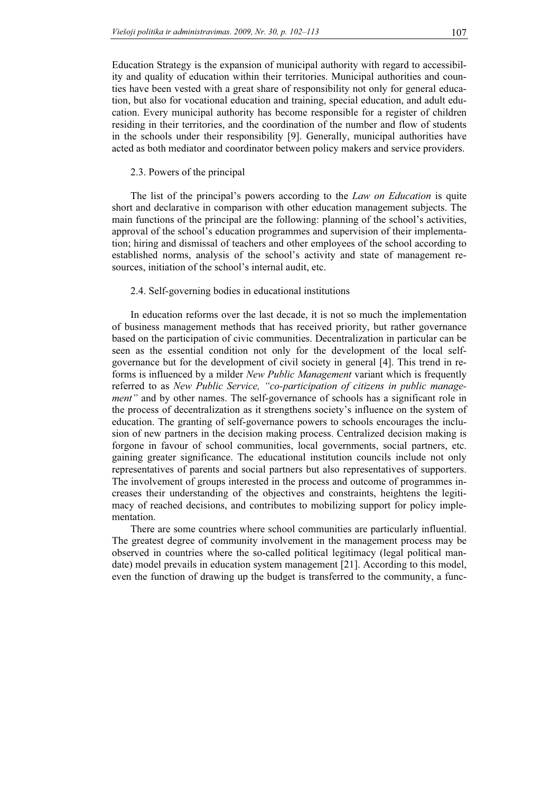Education Strategy is the expansion of municipal authority with regard to accessibility and quality of education within their territories. Municipal authorities and counties have been vested with a great share of responsibility not only for general education, but also for vocational education and training, special education, and adult education. Every municipal authority has become responsible for a register of children residing in their territories, and the coordination of the number and flow of students in the schools under their responsibility [9]. Generally, municipal authorities have acted as both mediator and coordinator between policy makers and service providers.

### 2.3. Powers of the principal

The list of the principal's powers according to the *Law on Education* is quite short and declarative in comparison with other education management subjects. The main functions of the principal are the following: planning of the school's activities, approval of the school's education programmes and supervision of their implementation; hiring and dismissal of teachers and other employees of the school according to established norms, analysis of the school's activity and state of management resources, initiation of the school's internal audit, etc.

# 2.4. Self-governing bodies in educational institutions

In education reforms over the last decade, it is not so much the implementation of business management methods that has received priority, but rather governance based on the participation of civic communities. Decentralization in particular can be seen as the essential condition not only for the development of the local selfgovernance but for the development of civil society in general [4]. This trend in reforms is influenced by a milder New Public Management variant which is frequently referred to as New Public Service, "co-participation of citizens in public management" and by other names. The self-governance of schools has a significant role in the process of decentralization as it strengthens society's influence on the system of education. The granting of self-governance powers to schools encourages the inclusion of new partners in the decision making process. Centralized decision making is forgone in favour of school communities, local governments, social partners, etc. gaining greater significance. The educational institution councils include not only representatives of parents and social partners but also representatives of supporters. The involvement of groups interested in the process and outcome of programmes increases their understanding of the objectives and constraints, heightens the legitimacy of reached decisions, and contributes to mobilizing support for policy implementation.

There are some countries where school communities are particularly influential. The greatest degree of community involvement in the management process may be observed in countries where the so-called political legitimacy (legal political mandate) model prevails in education system management [21]. According to this model, even the function of drawing up the budget is transferred to the community, a func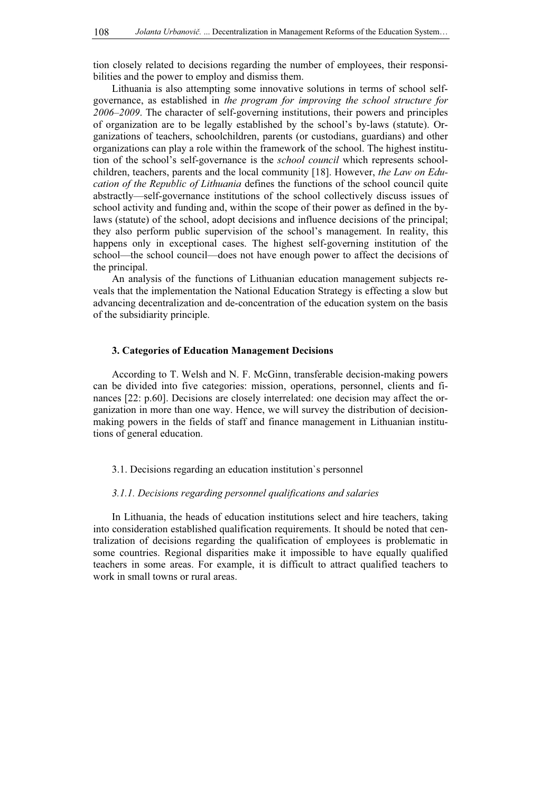tion closely related to decisions regarding the number of employees, their responsibilities and the power to employ and dismiss them.

Lithuania is also attempting some innovative solutions in terms of school selfgovernance, as established in the program for improving the school structure for 2006–2009. The character of self-governing institutions, their powers and principles of organization are to be legally established by the school's by-laws (statute). Organizations of teachers, schoolchildren, parents (or custodians, guardians) and other organizations can play a role within the framework of the school. The highest institution of the school's self-governance is the school council which represents schoolchildren, teachers, parents and the local community [18]. However, the Law on Education of the Republic of Lithuania defines the functions of the school council quite abstractly—self-governance institutions of the school collectively discuss issues of school activity and funding and, within the scope of their power as defined in the bylaws (statute) of the school, adopt decisions and influence decisions of the principal; they also perform public supervision of the school's management. In reality, this happens only in exceptional cases. The highest self-governing institution of the school—the school council—does not have enough power to affect the decisions of the principal.

An analysis of the functions of Lithuanian education management subjects reveals that the implementation the National Education Strategy is effecting a slow but advancing decentralization and de-concentration of the education system on the basis of the subsidiarity principle.

#### 3. Categories of Education Management Decisions

According to T. Welsh and N. F. McGinn, transferable decision-making powers can be divided into five categories: mission, operations, personnel, clients and finances [22: p.60]. Decisions are closely interrelated: one decision may affect the organization in more than one way. Hence, we will survey the distribution of decisionmaking powers in the fields of staff and finance management in Lithuanian institutions of general education.

3.1. Decisions regarding an education institution`s personnel

#### 3.1.1. Decisions regarding personnel qualifications and salaries

In Lithuania, the heads of education institutions select and hire teachers, taking into consideration established qualification requirements. It should be noted that centralization of decisions regarding the qualification of employees is problematic in some countries. Regional disparities make it impossible to have equally qualified teachers in some areas. For example, it is difficult to attract qualified teachers to work in small towns or rural areas.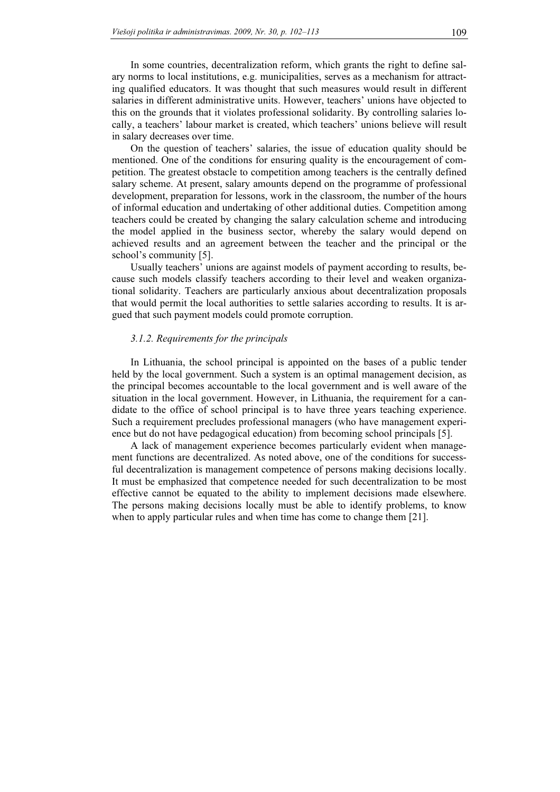In some countries, decentralization reform, which grants the right to define salary norms to local institutions, e.g. municipalities, serves as a mechanism for attracting qualified educators. It was thought that such measures would result in different salaries in different administrative units. However, teachers' unions have objected to this on the grounds that it violates professional solidarity. By controlling salaries locally, a teachers' labour market is created, which teachers' unions believe will result in salary decreases over time.

On the question of teachers' salaries, the issue of education quality should be mentioned. One of the conditions for ensuring quality is the encouragement of competition. The greatest obstacle to competition among teachers is the centrally defined salary scheme. At present, salary amounts depend on the programme of professional development, preparation for lessons, work in the classroom, the number of the hours of informal education and undertaking of other additional duties. Competition among teachers could be created by changing the salary calculation scheme and introducing the model applied in the business sector, whereby the salary would depend on achieved results and an agreement between the teacher and the principal or the school's community [5].

Usually teachers' unions are against models of payment according to results, because such models classify teachers according to their level and weaken organizational solidarity. Teachers are particularly anxious about decentralization proposals that would permit the local authorities to settle salaries according to results. It is argued that such payment models could promote corruption.

#### 3.1.2. Requirements for the principals

In Lithuania, the school principal is appointed on the bases of a public tender held by the local government. Such a system is an optimal management decision, as the principal becomes accountable to the local government and is well aware of the situation in the local government. However, in Lithuania, the requirement for a candidate to the office of school principal is to have three years teaching experience. Such a requirement precludes professional managers (who have management experience but do not have pedagogical education) from becoming school principals [5].

A lack of management experience becomes particularly evident when management functions are decentralized. As noted above, one of the conditions for successful decentralization is management competence of persons making decisions locally. It must be emphasized that competence needed for such decentralization to be most effective cannot be equated to the ability to implement decisions made elsewhere. The persons making decisions locally must be able to identify problems, to know when to apply particular rules and when time has come to change them [21].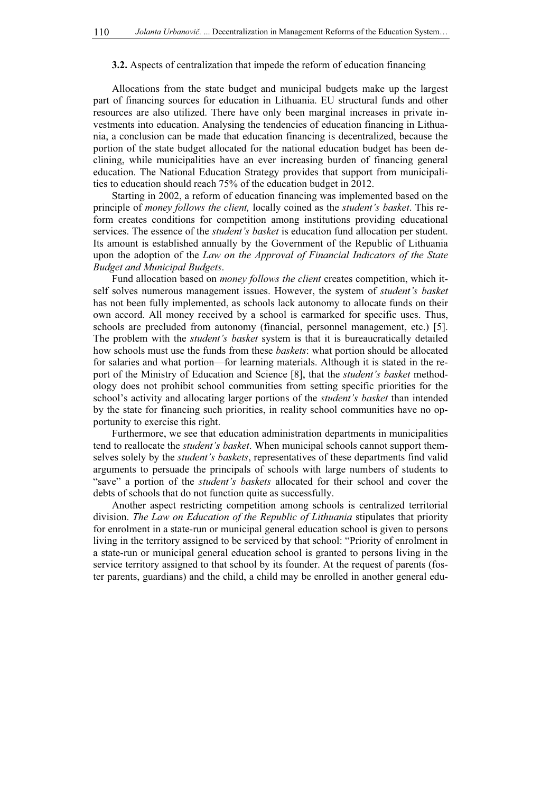#### 3.2. Aspects of centralization that impede the reform of education financing

Allocations from the state budget and municipal budgets make up the largest part of financing sources for education in Lithuania. EU structural funds and other resources are also utilized. There have only been marginal increases in private investments into education. Analysing the tendencies of education financing in Lithuania, a conclusion can be made that education financing is decentralized, because the portion of the state budget allocated for the national education budget has been declining, while municipalities have an ever increasing burden of financing general education. The National Education Strategy provides that support from municipalities to education should reach 75% of the education budget in 2012.

Starting in 2002, a reform of education financing was implemented based on the principle of money follows the client, locally coined as the student's basket. This reform creates conditions for competition among institutions providing educational services. The essence of the *student's basket* is education fund allocation per student. Its amount is established annually by the Government of the Republic of Lithuania upon the adoption of the Law on the Approval of Financial Indicators of the State Budget and Municipal Budgets.

Fund allocation based on money follows the client creates competition, which itself solves numerous management issues. However, the system of student's basket has not been fully implemented, as schools lack autonomy to allocate funds on their own accord. All money received by a school is earmarked for specific uses. Thus, schools are precluded from autonomy (financial, personnel management, etc.) [5]. The problem with the *student's basket* system is that it is bureaucratically detailed how schools must use the funds from these *baskets*: what portion should be allocated for salaries and what portion—for learning materials. Although it is stated in the report of the Ministry of Education and Science [8], that the *student's basket* methodology does not prohibit school communities from setting specific priorities for the school's activity and allocating larger portions of the *student's basket* than intended by the state for financing such priorities, in reality school communities have no opportunity to exercise this right.

Furthermore, we see that education administration departments in municipalities tend to reallocate the *student's basket*. When municipal schools cannot support themselves solely by the *student's baskets*, representatives of these departments find valid arguments to persuade the principals of schools with large numbers of students to "save" a portion of the student's baskets allocated for their school and cover the debts of schools that do not function quite as successfully.

Another aspect restricting competition among schools is centralized territorial division. The Law on Education of the Republic of Lithuania stipulates that priority for enrolment in a state-run or municipal general education school is given to persons living in the territory assigned to be serviced by that school: "Priority of enrolment in a state-run or municipal general education school is granted to persons living in the service territory assigned to that school by its founder. At the request of parents (foster parents, guardians) and the child, a child may be enrolled in another general edu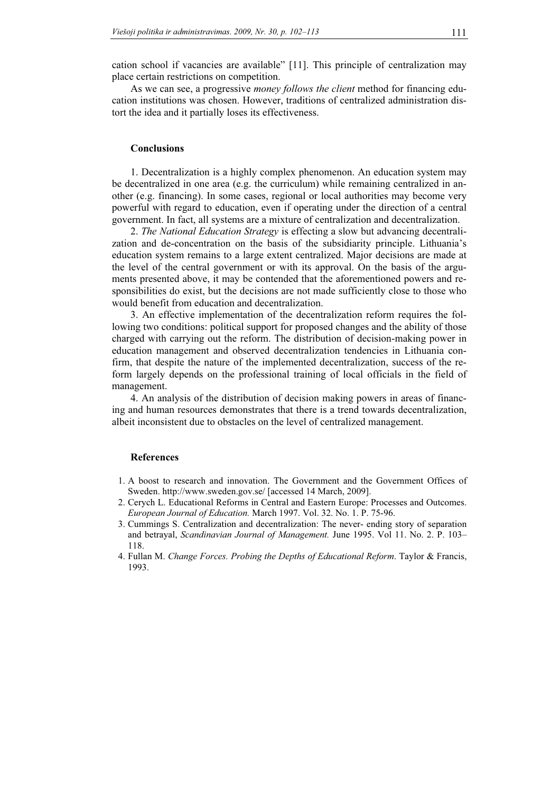cation school if vacancies are available" [11]. This principle of centralization may place certain restrictions on competition.

As we can see, a progressive *money follows the client* method for financing education institutions was chosen. However, traditions of centralized administration distort the idea and it partially loses its effectiveness.

## **Conclusions**

1. Decentralization is a highly complex phenomenon. An education system may be decentralized in one area (e.g. the curriculum) while remaining centralized in another (e.g. financing). In some cases, regional or local authorities may become very powerful with regard to education, even if operating under the direction of a central government. In fact, all systems are a mixture of centralization and decentralization.

2. The National Education Strategy is effecting a slow but advancing decentralization and de-concentration on the basis of the subsidiarity principle. Lithuania's education system remains to a large extent centralized. Major decisions are made at the level of the central government or with its approval. On the basis of the arguments presented above, it may be contended that the aforementioned powers and responsibilities do exist, but the decisions are not made sufficiently close to those who would benefit from education and decentralization.

3. An effective implementation of the decentralization reform requires the following two conditions: political support for proposed changes and the ability of those charged with carrying out the reform. The distribution of decision-making power in education management and observed decentralization tendencies in Lithuania confirm, that despite the nature of the implemented decentralization, success of the reform largely depends on the professional training of local officials in the field of management.

4. An analysis of the distribution of decision making powers in areas of financing and human resources demonstrates that there is a trend towards decentralization, albeit inconsistent due to obstacles on the level of centralized management.

### References

- 1. A boost to research and innovation. The Government and the Government Offices of Sweden. http://www.sweden.gov.se/ [accessed 14 March, 2009].
- 2. Cerych L. Educational Reforms in Central and Eastern Europe: Processes and Outcomes. European Journal of Education. March 1997. Vol. 32. No. 1. P. 75-96.
- 3. Cummings S. Centralization and decentralization: The never- ending story of separation and betrayal, Scandinavian Journal of Management. June 1995. Vol 11. No. 2. P. 103– 118.
- 4. Fullan M. Change Forces. Probing the Depths of Educational Reform. Taylor & Francis, 1993.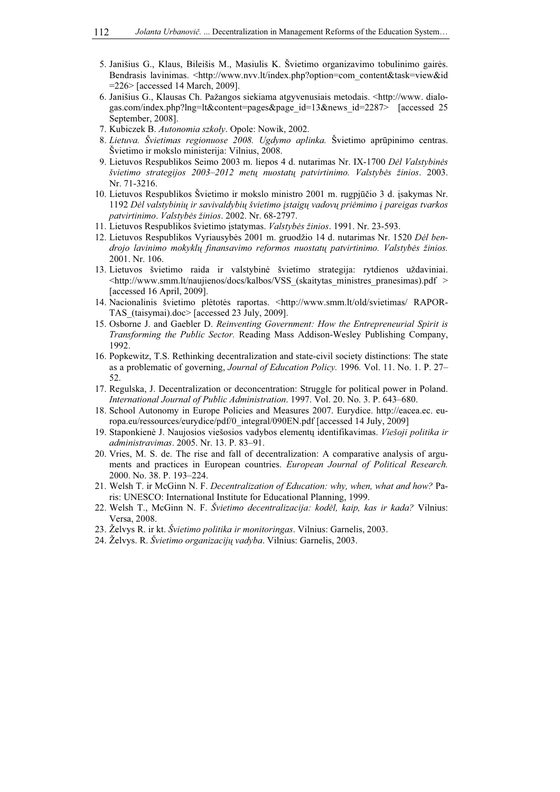- 5. Janišius G., Klaus, Bileišis M., Masiulis K. Švietimo organizavimo tobulinimo gairės. Bendrasis lavinimas. <http://www.nvv.lt/index.php?option=com\_content&task=view&id =226> [accessed 14 March, 2009].
- 6. Janišius G., Klausas Ch. Pažangos siekiama atgyvenusiais metodais. <http://www. dialogas.com/index.php?lng=lt&content=pages&page\_id=13&news\_id=2287> [accessed 25 September, 2008].
- 7. Kubiczek B. Autonomia szkoły. Opole: Nowik, 2002.
- 8. Lietuva. Švietimas regionuose 2008. Ugdymo aplinka. Švietimo aprūpinimo centras. Švietimo ir mokslo ministerija: Vilnius, 2008.
- 9. Lietuvos Respublikos Seimo 2003 m. liepos 4 d. nutarimas Nr. IX-1700 Dėl Valstybinės švietimo strategijos 2003–2012 metų nuostatų patvirtinimo. Valstybės žinios. 2003. Nr. 71-3216.
- 10. Lietuvos Respublikos Švietimo ir mokslo ministro 2001 m. rugpjūčio 3 d. įsakymas Nr. 1192 Dėl valstybinių ir savivaldybių švietimo įstaigų vadovų priėmimo į pareigas tvarkos patvirtinimo. Valstybės žinios. 2002. Nr. 68-2797.
- 11. Lietuvos Respublikos švietimo įstatymas. Valstybės žinios. 1991. Nr. 23-593.
- 12. Lietuvos Respublikos Vyriausybės 2001 m. gruodžio 14 d. nutarimas Nr. 1520 Dėl bendrojo lavinimo mokyklų finansavimo reformos nuostatų patvirtinimo. Valstybės žinios. 2001. Nr. 106.
- 13. Lietuvos švietimo raida ir valstybinė švietimo strategija: rytdienos uždaviniai.  $\langle \text{http://www.smm.lt/naujienos/docs/kalbos/VSS}$  (skaitytas ministres pranesimas).pdf > [accessed 16 April, 2009].
- 14. Nacionalinis švietimo plėtotės raportas. <http://www.smm.lt/old/svietimas/ RAPOR-TAS\_(taisymai).doc> [accessed 23 July, 2009].
- 15. Osborne J. and Gaebler D. Reinventing Government: How the Entrepreneurial Spirit is Transforming the Public Sector. Reading Mass Addison-Wesley Publishing Company, 1992.
- 16. Popkewitz, T.S. Rethinking decentralization and state-civil society distinctions: The state as a problematic of governing, Journal of Education Policy. 1996. Vol. 11. No. 1. P. 27– 52.
- 17. Regulska, J. Decentralization or deconcentration: Struggle for political power in Poland. International Journal of Public Administration. 1997. Vol. 20. No. 3. P. 643–680.
- 18. School Autonomy in Europe Policies and Measures 2007. Eurydice. http://eacea.ec. europa.eu/ressources/eurydice/pdf/0\_integral/090EN.pdf [accessed 14 July, 2009]
- 19. Staponkienė J. Naujosios viešosios vadybos elementų identifikavimas. Viešoji politika ir administravimas. 2005. Nr. 13. P. 83–91.
- 20. Vries, M. S. de. The rise and fall of decentralization: A comparative analysis of arguments and practices in European countries. European Journal of Political Research. 2000. No. 38. P. 193–224.
- 21. Welsh T. ir McGinn N. F. Decentralization of Education: why, when, what and how? Paris: UNESCO: International Institute for Educational Planning, 1999.
- 22. Welsh T., McGinn N. F. Švietimo decentralizacija: kodėl, kaip, kas ir kada? Vilnius: Versa, 2008.
- 23. Želvys R. ir kt. Švietimo politika ir monitoringas. Vilnius: Garnelis, 2003.
- 24. Želvys. R. Švietimo organizacijų vadyba. Vilnius: Garnelis, 2003.